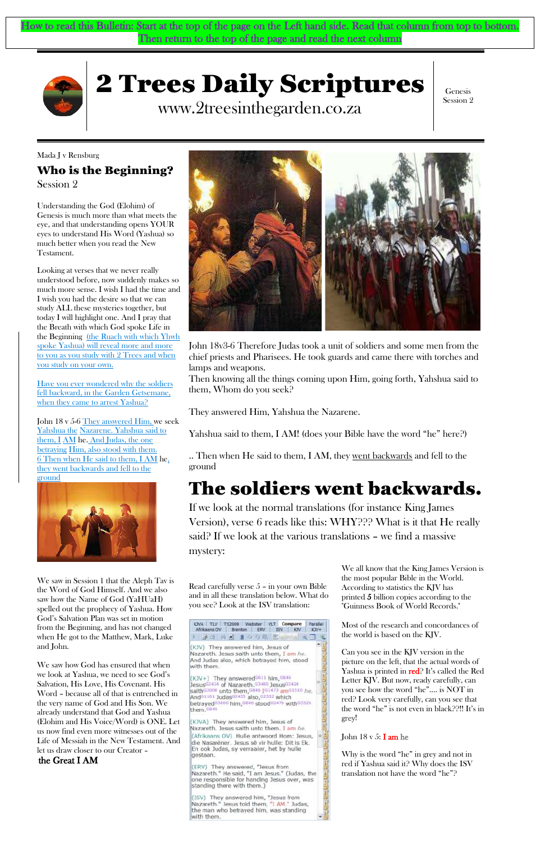# 2 Trees Daily Scriptures

www.2treesinthegarden.co.za

Genesis Session 2

Mada J v Rensburg Who is the Beginning? Session 2

Understanding the God (Elohim) of Genesis is much more than what meets the eye, and that understanding opens YOUR eyes to understand His Word (Yashua) so much better when you read the New Testament.

Looking at verses that we never really understood before, now suddenly makes so much more sense. I wish I had the time and I wish you had the desire so that we can study ALL these mysteries together, but today I will highlight one. And I pray that the Breath with which God spoke Life in the Beginning (the Ruach with which Yhwh spoke Yashua) will reveal more and more to you as you study with 2 Trees and when you study on your own.

John 18 v 5-6 They answered Him, we seek Yahshua the Nazarene. Yahshua said to them, I AM he. And Judas, the one betraying Him, also stood with them. 6 Then when He said to them, I AM he, they went backwards and fell to the ground



.. Then when He said to them, I AM, they <u>went backwards</u> and fell to the ground

Have you ever wondered why the soldiers fell backward, in the Garden Getsemane, when they came to arrest Yashua?

John 18v3-6 Therefore Judas took a unit of soldiers and some men from the chief priests and Pharisees. He took guards and came there with torches and lamps and weapons.

Then knowing all the things coming upon Him, going forth, Yahshua said to them, Whom do you seek?

They answered Him, Yahshua the Nazarene.

Yahshua said to them, I AM! (does your Bible have the word "he" here?)

# The soldiers went backwards.

If we look at the normal translations (for instance King James Version), verse 6 reads like this: WHY??? What is it that He really said? If we look at the various translations – we find a massive mystery:

Read carefully verse 5 – in your own Bible and in all these translation below. What do you see? Look at the ISV translation:

We all know that the King James Version is the most popular Bible in the World. According to statistics the KJV has printed 5 billion copies according to the "Guinness Book of World Records."

Most of the research and concordances of the world is based on the KJV.

Can you see in the KJV version in the picture on the left, that the actual words of Yashua is printed in red<sup>2</sup> It's called the Red Letter KJV. But now, ready carefully, can you see how the word "he"…. is NOT in red? Look very carefully, can you see that the word "he" is not even in black??!! It's in grey!

#### John  $18 \text{ v } 5$ : I am he

Why is the word "he" in grey and not in red if Yashua said it? Why does the ISV translation not have the word "he"?

We saw in Session 1 that the Aleph Tav is the Word of God Himself. And we also saw how the Name of God (YaHUaH) spelled out the prophecy of Yashua. How God's Salvation Plan was set in motion from the Beginning, and has not changed when He got to the Matthew, Mark, Luke and John.



We saw how God has ensured that when we look at Yashua, we need to see God's Salvation, His Love, His Covenant. His Word – because all of that is entrenched in the very name of God and His Son. We already understand that God and Yashua (Elohim and His Voice/Word) is ONE. Let us now find even more witnesses out of the Life of Messiah in the New Testament. And let us draw closer to our Creator –

#### the Great I AM

KIVA TLV TS2009 Webster VLT Compare Farallel Afrikaans OV | Brenton | ERV | ISV | KJV | KJV+ 2 经的科目 自分的 11111 日 屯

(KJV) They answered him, Jesus of Nazareth. Jesus saith unto them, I am he. And Judas also, which betrayed him, stood with them.

(KJV+) They answered<sup>G611</sup> him, <sup>G846</sup> Jesus<sup>62424</sup> of Nazareth. 63480 Jesus62424 saith 63004 unto them, 6846 161473 am 61510 he. And<sup>G1161</sup> Judas<sup>62455</sup> also, 62532 which betrayed<sup>G3860</sup> him, G846 stoodG2476 withG3326 them, G846

KJVA) They answered him, Jesus of Nazareth. Jesus saith unto them. I am he. (Afrikaans OV) Hulle antwoord Hom: Jesus, die Nasaréner. Jesus sê vir hulle: Dit is Ek. En ook Judas, sy verraaier, het by hulle gestaan.

(ERV) They answered, "Jesus from Nazareth." He said, "I am Jesus." (Judas, the one responsible for handing Jesus over, was standing there with them.)

(ISV) They answered him, "Jesus from<br>Nazareth." Jesus told them, "I AM." Judas, the man who betrayed him, was standing with them.

How to read this Bulletin: Start at the top of the page on the Left hand side. Read that column from top to bottom. Then return to the top of the page and read the next column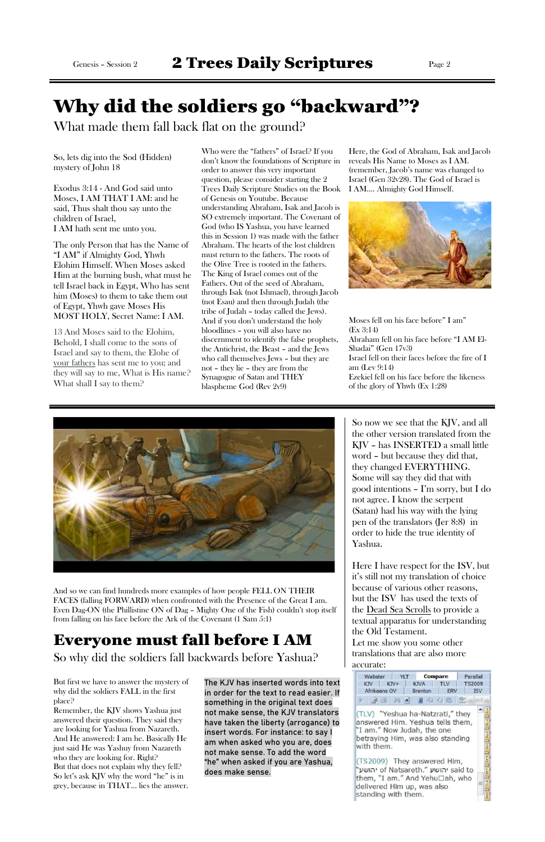## Why did the soldiers go "backward"?

What made them fall back flat on the ground?

So, lets dig into the Sod (Hidden) mystery of John 18

Exodus 3:14 - And God said unto Moses, I AM THAT I AM: and he said, Thus shalt thou say unto the children of Israel, I AM hath sent me unto you.

13 And Moses said to the Elohim, Behold, I shall come to the sons of Israel and say to them, the Elohe of your fathers has sent me to you; and they will say to me, What is His name? What shall I say to them?

The only Person that has the Name of "I AM" if Almighty God, Yhwh Elohim Himself. When Moses asked Him at the burning bush, what must he tell Israel back in Egypt, Who has sent him (Moses) to them to take them out of Egypt, Yhwh gave Moses His MOST HOLY, Secret Name: I AM.

Who were the "fathers" of Israel? If you don't know the foundations of Scripture in order to answer this very important question, please consider starting the 2 Trees Daily Scripture Studies on the Book of Genesis on Youtube. Because understanding Abraham, Isak and Jacob is SO extremely important. The Covenant of God (who IS Yashua, you have learned this in Session 1) was made with the father Abraham. The hearts of the lost children must return to the fathers. The roots of the Olive Tree is rooted in the fathers. The King of Israel comes out of the Fathers. Out of the seed of Abraham, through Isak (not Ishmael), through Jacob (not Esau) and then through Judah (the tribe of Judah – today called the Jews). And if you don't understand the holy bloodlines – you will also have no discernment to identify the false prophets, the Antichrist, the Beast – and the Jews who call themselves Jews – but they are not – they lie – they are from the Synagogue of Satan and THEY blaspheme God (Rev 2v9)

Here, the God of Abraham, Isak and Jacob reveals His Name to Moses as I AM. (remember, Jacob's name was changed to Israel (Gen 32v28). The God of Israel is I AM…. Almighty God Himself.



Moses fell on his face before" I am" (Ex 3:14) Abraham fell on his face before "I AM El-Shadai" (Gen 17v3) Israel fell on their faces before the fire of I am (Lev 9:14) Ezekiel fell on his face before the likeness of the glory of Yhwh (Ex 1:28)

So now we see that the KJV, and all the other version translated from the KJV – has INSERTED a small little word – but because they did that, they changed EVERYTHING. Some will say they did that with good intentions – I'm sorry, but I do not agree. I know the serpent (Satan) had his way with the lying pen of the translators (Jer 8:8) in order to hide the true identity of Yashua.

Here I have respect for the ISV, but it's still not my translation of choice because of various other reasons, but the ISV has used the texts of the <u>[Dead Sea Scrolls](https://en.wikipedia.org/wiki/Dead_Sea_Scrolls)</u> to provide a textual apparatus for understanding the Old Testament. Let me show you some other translations that are also more accurate:



And so we can find hundreds more examples of how people FELL ON THEIR FACES (falling FORWARD) when confronted with the Presence of the Great I am. Even Dag-ON (the Phillistine ON of Dag – Mighty One of the Fish) couldn't stop itself

from falling on his face before the Ark of the Covenant (1 Sam 5:1)

# Everyone must fall before I AM

So why did the soldiers fall backwards before Yashua?

But first we have to answer the mystery of why did the soldiers FALL in the first place?

Remember, the KJV shows Yashua just answered their question. They said they are looking for Yashua from Nazareth. And He answered: I am he. Basically He just said He was Yashuy from Nazareth who they are looking for. Right? But that does not explain why they fell? So let's ask KJV why the word "he" is in grey, because in THAT… lies the answer.

The KJV has inserted words into text in order for the text to read easier. If something in the original text does not make sense, the KJV translators have taken the liberty (arrogance) to insert words. For instance: to say I am when asked who you are, does not make sense. To add the word "he" when asked if you are Yashua, does make sense.

| Webster YLT  |        |                                                                                                                                        | Compare    |               |
|--------------|--------|----------------------------------------------------------------------------------------------------------------------------------------|------------|---------------|
| <b>KJV</b>   | $KJV+$ | <b>KJVA</b>                                                                                                                            | <b>TLV</b> | <b>TS2009</b> |
| Afrikaans OV |        | Brenton                                                                                                                                | <b>ERV</b> | <b>ISV</b>    |
|              |        | <b>&gt; 34 A B B &amp; Q B Z A</b>                                                                                                     |            |               |
| with them.   |        | (TLV) "Yeshua ha-Natzrati," they<br>answered Him. Yeshua tells them,<br>'I am." Now Judah, the one<br>betraying Him, was also standing |            | ī<br>Ē<br>ī   |

(TS2009) They answered Him, "יהושע of Natsareth." יהושע said to them, "I am." And Yehu□ah, who delivered Him up, was also standing with them.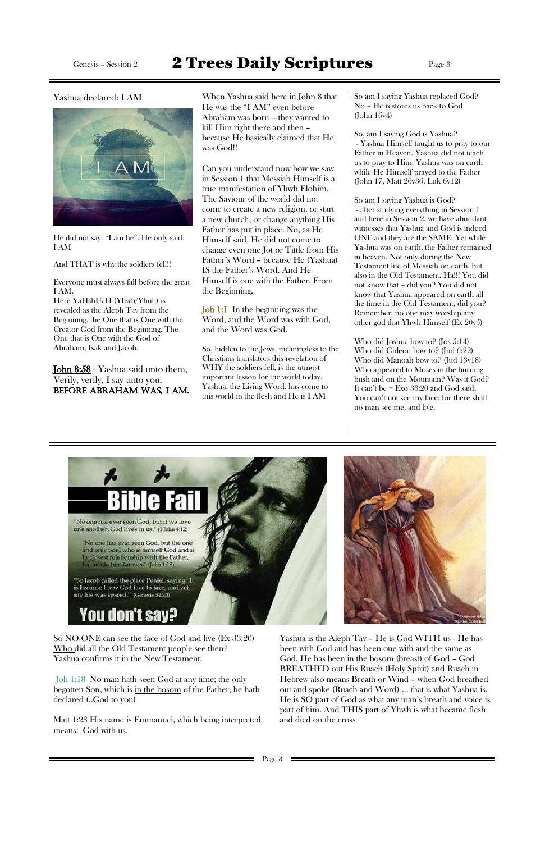### Genesis - Session 2 **2 Trees Daily Scriptures** Page 3



Yashua declared: I AM When Yashua said here in John 8 that He was the "I AM" even before Abraham was born – they wanted to kill Him right there and then – because He basically claimed that He was God!!

> Can you understand now how we saw in Session 1 that Messiah Himself is a true manifestation of Yhwh Elohim. The Saviour of the world did not come to create a new religion, or start a new church, or change anything His Father has put in place. No, as He Himself said, He did not come to change even one Jot or Tittle from His Father's Word – because He (Yashua) IS the Father's Word. And He Himself is one with the Father. From the Beginning.

Joh 1:1 In the beginning was the Word, and the Word was with God, and the Word was God.

So, hidden to the Jews, meaningless to the Christians translators this revelation of WHY the soldiers fell, is the utmost important lesson for the world today. Yashua, the Living Word, has come to this world in the flesh and He is I AM

So am I saying Yashua replaced God? No – He restores us back to God (John 16v4)

So, am I saying God is Yashua? - Yashua Himself taught us to pray to our Father in Heaven. Yashua did not teach us to pray to Him. Yashua was on earth while He Himself prayed to the Father (John 17, Matt 26v36, Luk 6v12)

**[John 8:58](https://www.kingjamesbibleonline.org/John-8-58/)** - Yashua said unto them, Verily, verily, I say unto you, Before Abraham was, I am.

So am I saying Yashua is God? - after studying everything in Session 1 and here in Session 2, we have abundant witnesses that Yashua and God is indeed ONE and they are the SAME. Yet while Yashua was on earth, the Father remained in heaven. Not only during the New Testament life of Messiah on earth, but also in the Old Testament. Ha!!! You did not know that – did you? You did not know that Yashua appeared on earth all the time in the Old Testament, did you? Remember, no one may worship any other god that Yhwh Himself (Ex 20v5)

Who did Joshua bow to? (Jos 5:14) Who did Gideon bow to? (Jud 6:22) Who did Manoah bow to? (Jud 13v18) Who appeared to Moses in the burning bush and on the Mountain? Was it God? It can't be = Exo 33:20 and God said, You can't not see my face: for there shall no man see me, and live.





He did not say: "I am he". He only said: I AM

And THAT is why the soldiers fell!!

Everyone must always fall before the great I AM.

Here YaHshUaH (Yhwh/Yhuh) is revealed as the Aleph Tav from the Beginning, the One that is One with the Creator God from the Beginning. The One that is One with the God of Abraham, Isak and Jacob.

So NO-ONE can see the face of God and live (Ex 33:20) Who did all the Old Testament people see then? Yashua confirms it in the New Testament:

Joh 1:18 No man hath seen God at any time; the only begotten Son, which is in the bosom of the Father, he hath declared (..God to you)

Matt 1:23 His name is Emmanuel, which being interpreted means: God with us.

Yashua is the Aleph Tav – He is God WITH us - He has been with God and has been one with and the same as God, He has been in the bosom (breast) of God – God BREATHED out His Ruach (Holy Spirit) and Ruach in Hebrew also means Breath or Wind – when God breathed out and spoke (Ruach and Word) … that is what Yashua is. He is SO part of God as what any man's breath and voice is part of him. And THIS part of Yhwh is what became flesh and died on the cross

Page 3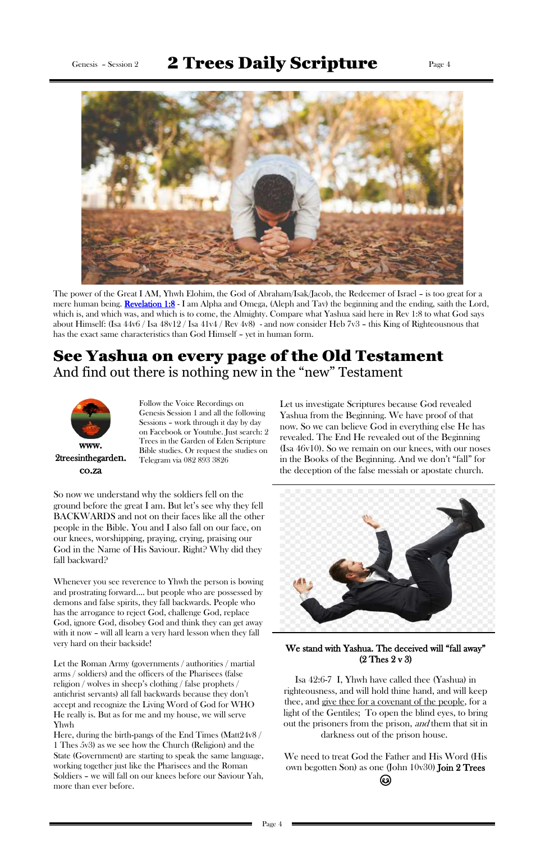### Genesis - Session 2  $2$  Trees Daily Scripture Page 4



The power of the Great I AM, Yhwh Elohim, the God of Abraham/Isak/Jacob, the Redeemer of Israel – is too great for a mere human being. [Revelation 1:8](https://www.kingjamesbibleonline.org/Revelation-1-8/) - I am Alpha and Omega, (Aleph and Tav) the beginning and the ending, saith the Lord, which is, and which was, and which is to come, the Almighty. Compare what Yashua said here in Rev 1:8 to what God says about Himself: (Isa 44v6 / Isa 48v12 / Isa 41v4 / Rev 4v8) - and now consider Heb 7v3 – this King of Righteousnous that has the exact same characteristics than God Himself – yet in human form.

#### See Yashua on every page of the Old Testament And find out there is nothing new in the "new" Testament



www. 2treesinthegarden. co.za

Follow the Voice Recordings on Genesis Session 1 and all the following Sessions – work through it day by day on Facebook or Youtube. Just search: 2 Trees in the Garden of Eden Scripture Bible studies. Or request the studies on Telegram via 082 893 3826

Let us investigate Scriptures because God revealed Yashua from the Beginning. We have proof of that now. So we can believe God in everything else He has revealed. The End He revealed out of the Beginning (Isa 46v10). So we remain on our knees, with our noses in the Books of the Beginning. And we don't "fall" for the deception of the false messiah or apostate church.



Let the Roman Army (governments / authorities / martial arms / soldiers) and the officers of the Pharisees (false religion / wolves in sheep's clothing / false prophets / antichrist servants) all fall backwards because they don't accept and recognize the Living Word of God for WHO He really is. But as for me and my house, we will serve Yhwh

So now we understand why the soldiers fell on the ground before the great I am. But let's see why they fell BACKWARDS and not on their faces like all the other people in the Bible. You and I also fall on our face, on our knees, worshipping, praying, crying, praising our God in the Name of His Saviour. Right? Why did they fall backward?

> We need to treat God the Father and His Word (His own begotten Son) as one (John 10v30) Join 2 Trees (ပ)

Whenever you see reverence to Yhwh the person is bowing and prostrating forward…. but people who are possessed by demons and false spirits, they fall backwards. People who has the arrogance to reject God, challenge God, replace

God, ignore God, disobey God and think they can get away with it now – will all learn a very hard lesson when they fall very hard on their backside!

Here, during the birth-pangs of the End Times (Matt24v8 / 1 Thes 5v3) as we see how the Church (Religion) and the State (Government) are starting to speak the same language, working together just like the Pharisees and the Roman Soldiers – we will fall on our knees before our Saviour Yah, more than ever before.

#### We stand with Yashua. The deceived will "fall away" (2 Thes 2 v 3)

Isa 42:6-7 I, Yhwh have called thee (Yashua) in righteousness, and will hold thine hand, and will keep thee, and give thee for a covenant of the people, for a light of the Gentiles; To open the blind eyes, to bring out the prisoners from the prison, *and* them that sit in darkness out of the prison house.